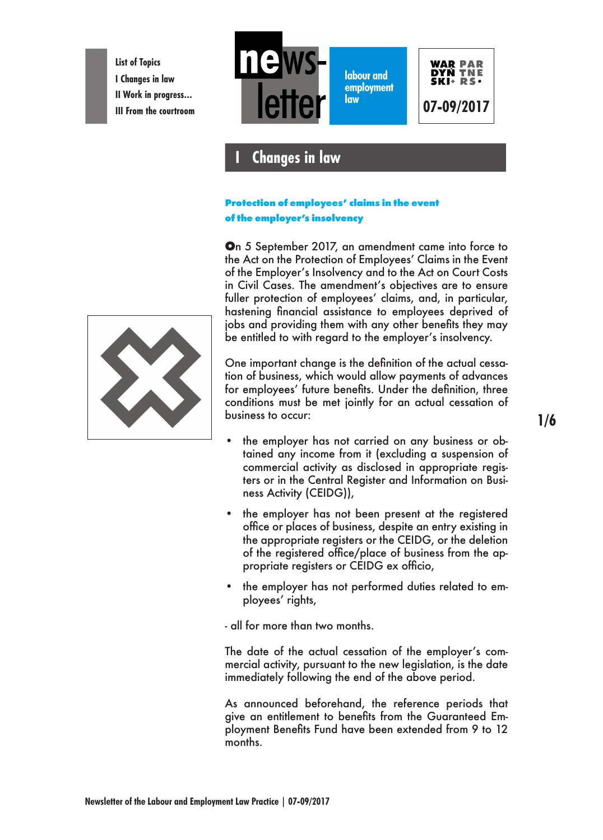**List of Topics I Changes in law II Work in progress…**



# **I Changes in law**

### **Protection of employees' claims in the event of the employer's insolvency**

**O**n 5 September 2017, an amendment came into force to the Act on the Protection of Employees' Claims in the Event of the Employer's Insolvency and to the Act on Court Costs in Civil Cases. The amendment's objectives are to ensure fuller protection of employees' claims, and, in particular, hastening financial assistance to employees deprived of jobs and providing them with any other benefits they may be entitled to with regard to the employer's insolvency.

One important change is the definition of the actual cessation of business, which would allow payments of advances for employees' future benefits. Under the definition, three conditions must be met jointly for an actual cessation of business to occur:

- the employer has not carried on any business or obtained any income from it (excluding a suspension of commercial activity as disclosed in appropriate registers or in the Central Register and Information on Business Activity (CEIDG)),
- the employer has not been present at the registered office or places of business, despite an entry existing in the appropriate registers or the CEIDG, or the deletion of the registered office/place of business from the appropriate registers or CEIDG ex officio,
- the employer has not performed duties related to employees' rights,

- all for more than two months.

The date of the actual cessation of the employer's commercial activity, pursuant to the new legislation, is the date immediately following the end of the above period.

As announced beforehand, the reference periods that give an entitlement to benefits from the Guaranteed Employment Benefits Fund have been extended from 9 to 12 months.

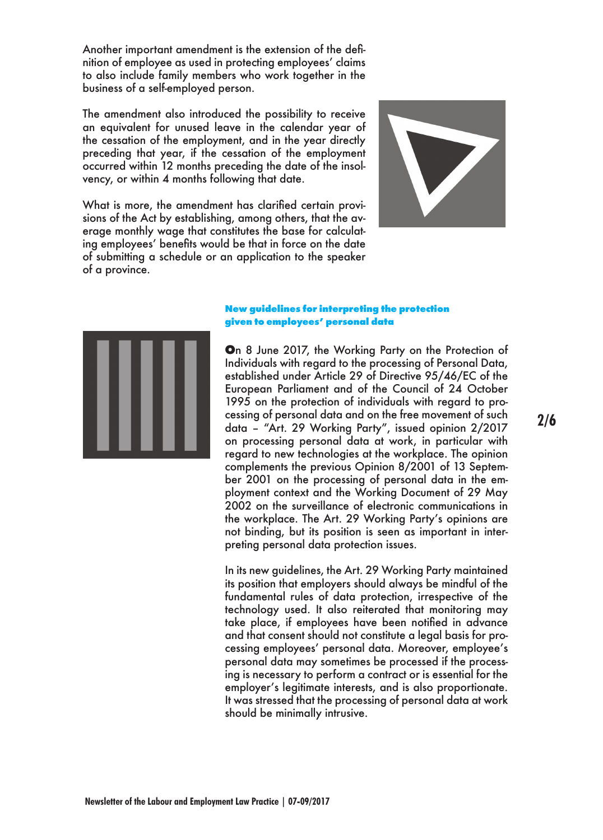Another important amendment is the extension of the definition of employee as used in protecting employees' claims to also include family members who work together in the business of a self-employed person.

The amendment also introduced the possibility to receive an equivalent for unused leave in the calendar year of the cessation of the employment, and in the year directly preceding that year, if the cessation of the employment occurred within 12 months preceding the date of the insolvency, or within 4 months following that date.

What is more, the amendment has clarified certain provisions of the Act by establishing, among others, that the average monthly wage that constitutes the base for calculating employees' benefits would be that in force on the date of submitting a schedule or an application to the speaker of a province.





#### **New guidelines for interpreting the protection given to employees' personal data**

**O**n 8 June 2017, the Working Party on the Protection of Individuals with regard to the processing of Personal Data, established under Article 29 of Directive 95/46/EC of the European Parliament and of the Council of 24 October 1995 on the protection of individuals with regard to processing of personal data and on the free movement of such data – "Art. 29 Working Party", issued opinion 2/2017 on processing personal data at work, in particular with regard to new technologies at the workplace. The opinion complements the previous Opinion 8/2001 of 13 September 2001 on the processing of personal data in the employment context and the Working Document of 29 May 2002 on the surveillance of electronic communications in the workplace. The Art. 29 Working Party's opinions are not binding, but its position is seen as important in interpreting personal data protection issues.

In its new guidelines, the Art. 29 Working Party maintained its position that employers should always be mindful of the fundamental rules of data protection, irrespective of the technology used. It also reiterated that monitoring may take place, if employees have been notified in advance and that consent should not constitute a legal basis for processing employees' personal data. Moreover, employee's personal data may sometimes be processed if the processing is necessary to perform a contract or is essential for the employer's legitimate interests, and is also proportionate. It was stressed that the processing of personal data at work should be minimally intrusive.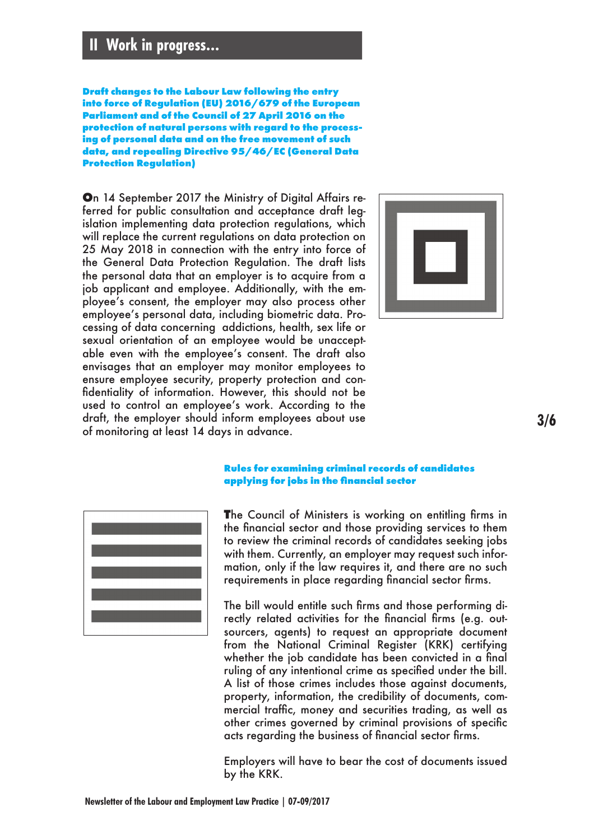## **II Work in progress…**

**Draft changes to the Labour Law following the entry into force of Regulation (EU) 2016/679 of the European Parliament and of the Council of 27 April 2016 on the protection of natural persons with regard to the processing of personal data and on the free movement of such data, and repealing Directive 95/46/EC (General Data Protection Regulation)**

**O**n 14 September 2017 the Ministry of Digital Affairs referred for public consultation and acceptance draft legislation implementing data protection regulations, which will replace the current regulations on data protection on 25 May 2018 in connection with the entry into force of the General Data Protection Regulation. The draft lists the personal data that an employer is to acquire from a job applicant and employee. Additionally, with the employee's consent, the employer may also process other employee's personal data, including biometric data. Processing of data concerning addictions, health, sex life or sexual orientation of an employee would be unacceptable even with the employee's consent. The draft also envisages that an employer may monitor employees to ensure employee security, property protection and confidentiality of information. However, this should not be used to control an employee's work. According to the draft, the employer should inform employees about use of monitoring at least 14 days in advance.



**3/6**



#### **Rules for examining criminal records of candidates applying for jobs in the financial sector**

**T**he Council of Ministers is working on entitling firms in the financial sector and those providing services to them to review the criminal records of candidates seeking jobs with them. Currently, an employer may request such information, only if the law requires it, and there are no such requirements in place regarding financial sector firms.

The bill would entitle such firms and those performing directly related activities for the financial firms (e.g. outsourcers, agents) to request an appropriate document from the National Criminal Register (KRK) certifying whether the job candidate has been convicted in a final ruling of any intentional crime as specified under the bill. A list of those crimes includes those against documents, property, information, the credibility of documents, commercial traffic, money and securities trading, as well as other crimes governed by criminal provisions of specific acts regarding the business of financial sector firms.

Employers will have to bear the cost of documents issued by the KRK.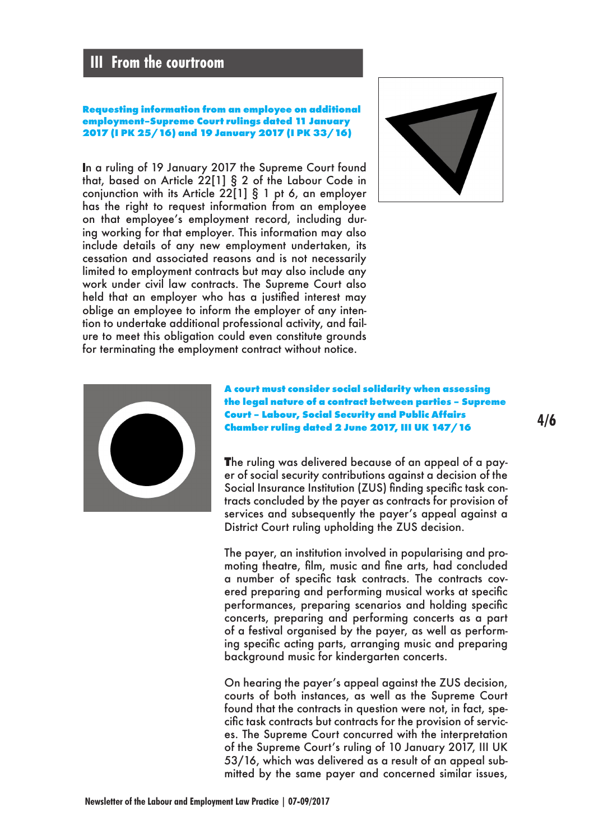### **III From the courtroom**

#### **Requesting information from an employee on additional employment–Supreme Court rulings dated 11 January 2017 (I PK 25/16) and 19 January 2017 (I PK 33/16)**

n a ruling of 19 January 2017 the Supreme Court found that, based on Article 22[1] § 2 of the Labour Code in conjunction with its Article 22[1] § 1 pt 6, an employer has the right to request information from an employee on that employee's employment record, including during working for that employer. This information may also include details of any new employment undertaken, its cessation and associated reasons and is not necessarily limited to employment contracts but may also include any work under civil law contracts. The Supreme Court also held that an employer who has a justified interest may oblige an employee to inform the employer of any intention to undertake additional professional activity, and failure to meet this obligation could even constitute grounds for terminating the employment contract without notice.





**A court must consider social solidarity when assessing the legal nature of a contract between parties – Supreme Court – Labour, Social Security and Public Affairs Chamber ruling dated 2 June 2017, III UK 147/16**

**T**he ruling was delivered because of an appeal of a payer of social security contributions against a decision of the Social Insurance Institution (ZUS) finding specific task contracts concluded by the payer as contracts for provision of services and subsequently the payer's appeal against a District Court ruling upholding the ZUS decision.

The payer, an institution involved in popularising and promoting theatre, film, music and fine arts, had concluded a number of specific task contracts. The contracts covered preparing and performing musical works at specific performances, preparing scenarios and holding specific concerts, preparing and performing concerts as a part of a festival organised by the payer, as well as performing specific acting parts, arranging music and preparing background music for kindergarten concerts.

On hearing the payer's appeal against the ZUS decision, courts of both instances, as well as the Supreme Court found that the contracts in question were not, in fact, specific task contracts but contracts for the provision of services. The Supreme Court concurred with the interpretation of the Supreme Court's ruling of 10 January 2017, III UK 53/16, which was delivered as a result of an appeal submitted by the same payer and concerned similar issues,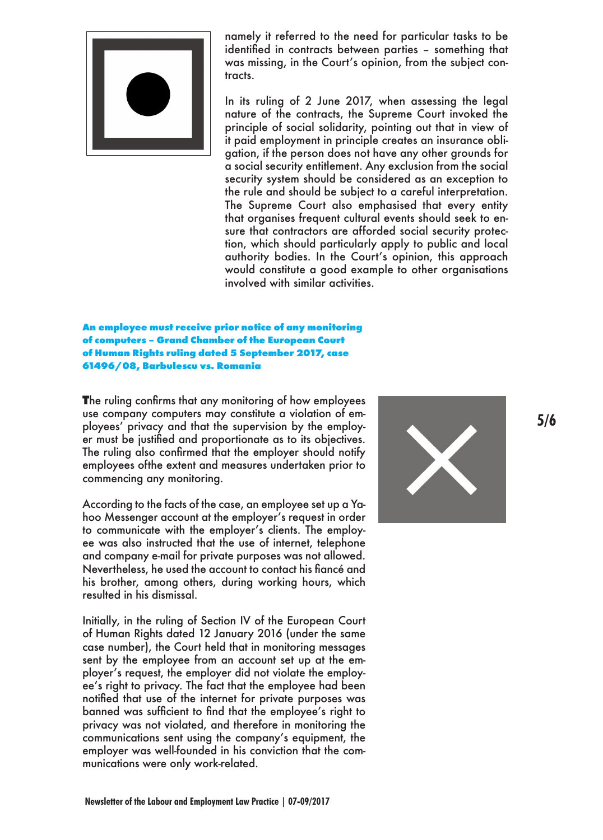

namely it referred to the need for particular tasks to be identified in contracts between parties – something that was missing, in the Court's opinion, from the subject contracts.

In its ruling of 2 June 2017, when assessing the legal nature of the contracts, the Supreme Court invoked the principle of social solidarity, pointing out that in view of it paid employment in principle creates an insurance obligation, if the person does not have any other grounds for a social security entitlement. Any exclusion from the social security system should be considered as an exception to the rule and should be subject to a careful interpretation. The Supreme Court also emphasised that every entity that organises frequent cultural events should seek to ensure that contractors are afforded social security protection, which should particularly apply to public and local authority bodies. In the Court's opinion, this approach would constitute a good example to other organisations involved with similar activities.

#### **An employee must receive prior notice of any monitoring of computers – Grand Chamber of the European Court of Human Rights ruling dated 5 September 2017, case 61496/08, Barbulescu vs. Romania**

**T**he ruling confirms that any monitoring of how employees use company computers may constitute a violation of employees' privacy and that the supervision by the employer must be justified and proportionate as to its objectives. The ruling also confirmed that the employer should notify employees ofthe extent and measures undertaken prior to commencing any monitoring.

According to the facts of the case, an employee set up a Yahoo Messenger account at the employer's request in order to communicate with the employer's clients. The employee was also instructed that the use of internet, telephone and company e-mail for private purposes was not allowed. Nevertheless, he used the account to contact his fiancé and his brother, among others, during working hours, which resulted in his dismissal.

Initially, in the ruling of Section IV of the European Court of Human Rights dated 12 January 2016 (under the same case number), the Court held that in monitoring messages sent by the employee from an account set up at the employer's request, the employer did not violate the employee's right to privacy. The fact that the employee had been notified that use of the internet for private purposes was banned was sufficient to find that the employee's right to privacy was not violated, and therefore in monitoring the communications sent using the company's equipment, the employer was well-founded in his conviction that the communications were only work-related.



**5/6**